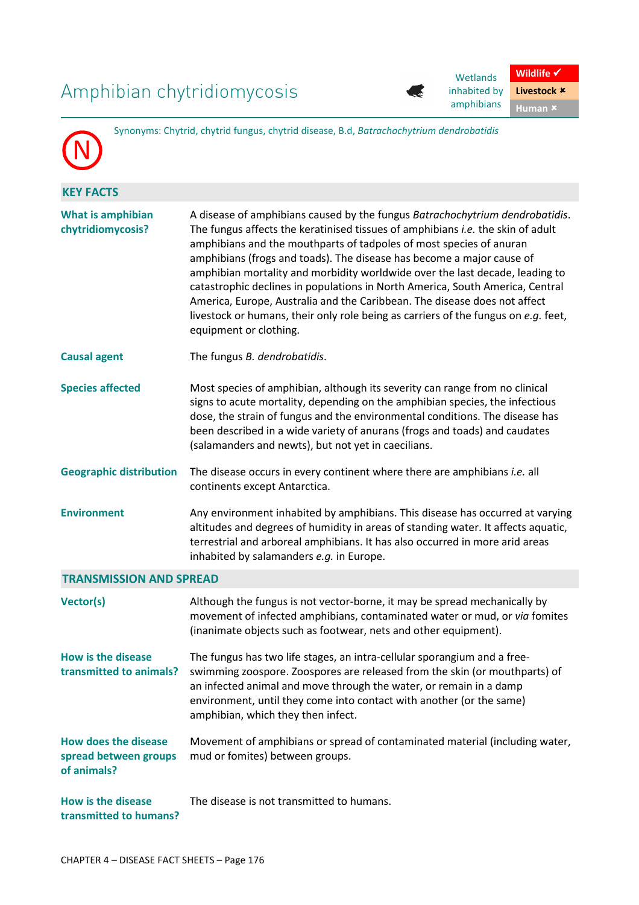## Amphibian chytridiomycosis



Wetlands inhabited by amphibians **Human** 

**Wildlife** √ **Livestock** 

|                                                                     | Synonyms: Chytrid, chytrid fungus, chytrid disease, B.d, Batrachochytrium dendrobatidis                                                                                                                                                                                                                                                                                                                                                                                                                                                                                                                                                                                              |  |  |  |  |
|---------------------------------------------------------------------|--------------------------------------------------------------------------------------------------------------------------------------------------------------------------------------------------------------------------------------------------------------------------------------------------------------------------------------------------------------------------------------------------------------------------------------------------------------------------------------------------------------------------------------------------------------------------------------------------------------------------------------------------------------------------------------|--|--|--|--|
| <b>KEY FACTS</b>                                                    |                                                                                                                                                                                                                                                                                                                                                                                                                                                                                                                                                                                                                                                                                      |  |  |  |  |
| <b>What is amphibian</b><br>chytridiomycosis?                       | A disease of amphibians caused by the fungus Batrachochytrium dendrobatidis.<br>The fungus affects the keratinised tissues of amphibians <i>i.e.</i> the skin of adult<br>amphibians and the mouthparts of tadpoles of most species of anuran<br>amphibians (frogs and toads). The disease has become a major cause of<br>amphibian mortality and morbidity worldwide over the last decade, leading to<br>catastrophic declines in populations in North America, South America, Central<br>America, Europe, Australia and the Caribbean. The disease does not affect<br>livestock or humans, their only role being as carriers of the fungus on e.g. feet,<br>equipment or clothing. |  |  |  |  |
| <b>Causal agent</b>                                                 | The fungus B. dendrobatidis.                                                                                                                                                                                                                                                                                                                                                                                                                                                                                                                                                                                                                                                         |  |  |  |  |
| <b>Species affected</b>                                             | Most species of amphibian, although its severity can range from no clinical<br>signs to acute mortality, depending on the amphibian species, the infectious<br>dose, the strain of fungus and the environmental conditions. The disease has<br>been described in a wide variety of anurans (frogs and toads) and caudates<br>(salamanders and newts), but not yet in caecilians.                                                                                                                                                                                                                                                                                                     |  |  |  |  |
| <b>Geographic distribution</b>                                      | The disease occurs in every continent where there are amphibians <i>i.e.</i> all<br>continents except Antarctica.                                                                                                                                                                                                                                                                                                                                                                                                                                                                                                                                                                    |  |  |  |  |
| <b>Environment</b>                                                  | Any environment inhabited by amphibians. This disease has occurred at varying<br>altitudes and degrees of humidity in areas of standing water. It affects aquatic,<br>terrestrial and arboreal amphibians. It has also occurred in more arid areas<br>inhabited by salamanders e.g. in Europe.                                                                                                                                                                                                                                                                                                                                                                                       |  |  |  |  |
| <b>TRANSMISSION AND SPREAD</b>                                      |                                                                                                                                                                                                                                                                                                                                                                                                                                                                                                                                                                                                                                                                                      |  |  |  |  |
| Vector(s)                                                           | Although the fungus is not vector-borne, it may be spread mechanically by<br>movement of infected amphibians, contaminated water or mud, or via fomites<br>(inanimate objects such as footwear, nets and other equipment).                                                                                                                                                                                                                                                                                                                                                                                                                                                           |  |  |  |  |
| <b>How is the disease</b><br>transmitted to animals?                | The fungus has two life stages, an intra-cellular sporangium and a free-<br>swimming zoospore. Zoospores are released from the skin (or mouthparts) of<br>an infected animal and move through the water, or remain in a damp<br>environment, until they come into contact with another (or the same)<br>amphibian, which they then infect.                                                                                                                                                                                                                                                                                                                                           |  |  |  |  |
| <b>How does the disease</b><br>spread between groups<br>of animals? | Movement of amphibians or spread of contaminated material (including water,<br>mud or fomites) between groups.                                                                                                                                                                                                                                                                                                                                                                                                                                                                                                                                                                       |  |  |  |  |
| <b>How is the disease</b><br>transmitted to humans?                 | The disease is not transmitted to humans.                                                                                                                                                                                                                                                                                                                                                                                                                                                                                                                                                                                                                                            |  |  |  |  |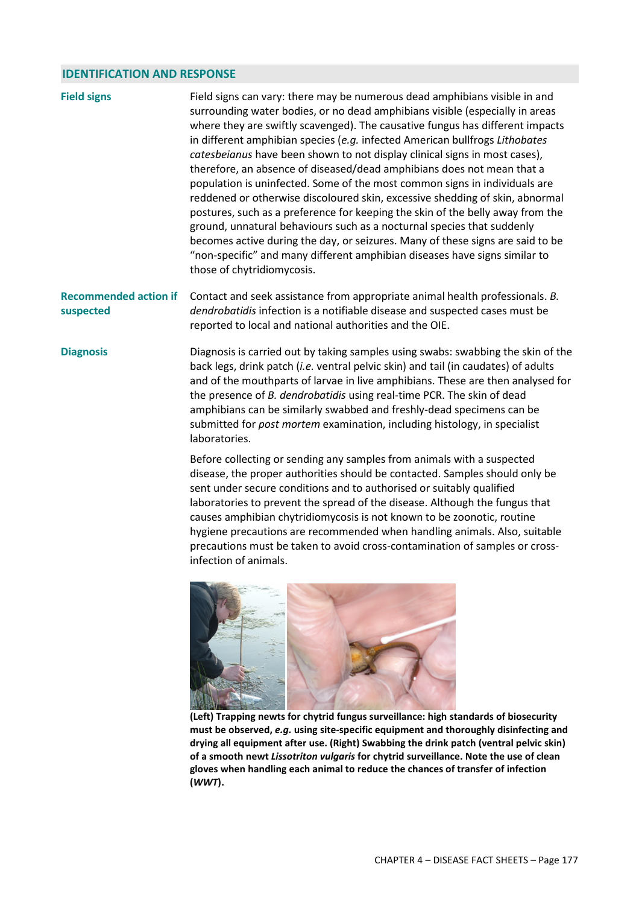## **IDENTIFICATION AND RESPONSE**

| <b>Field signs</b> | Field signs can vary: there may be numerous dead amphibians visible in and<br>surrounding water bodies, or no dead amphibians visible (especially in areas<br>where they are swiftly scavenged). The causative fungus has different impacts<br>in different amphibian species (e.g. infected American bullfrogs Lithobates<br>catesbeianus have been shown to not display clinical signs in most cases),<br>therefore, an absence of diseased/dead amphibians does not mean that a<br>population is uninfected. Some of the most common signs in individuals are<br>reddened or otherwise discoloured skin, excessive shedding of skin, abnormal<br>postures, such as a preference for keeping the skin of the belly away from the<br>ground, unnatural behaviours such as a nocturnal species that suddenly<br>becomes active during the day, or seizures. Many of these signs are said to be<br>"non-specific" and many different amphibian diseases have signs similar to<br>those of chytridiomycosis. |
|--------------------|------------------------------------------------------------------------------------------------------------------------------------------------------------------------------------------------------------------------------------------------------------------------------------------------------------------------------------------------------------------------------------------------------------------------------------------------------------------------------------------------------------------------------------------------------------------------------------------------------------------------------------------------------------------------------------------------------------------------------------------------------------------------------------------------------------------------------------------------------------------------------------------------------------------------------------------------------------------------------------------------------------|
|--------------------|------------------------------------------------------------------------------------------------------------------------------------------------------------------------------------------------------------------------------------------------------------------------------------------------------------------------------------------------------------------------------------------------------------------------------------------------------------------------------------------------------------------------------------------------------------------------------------------------------------------------------------------------------------------------------------------------------------------------------------------------------------------------------------------------------------------------------------------------------------------------------------------------------------------------------------------------------------------------------------------------------------|

Recommended action if Contact and seek assistance from appropriate animal health professionals. *B.* **suspected**  *dendrobatidis* infection is a notifiable disease and suspected cases must be reported to local and national authorities and the OIE.

**Diagnosis** Diagnosis is carried out by taking samples using swabs: swabbing the skin of the back legs, drink patch (*i.e.* ventral pelvic skin) and tail (in caudates) of adults and of the mouthparts of larvae in live amphibians. These are then analysed for the presence of *B. dendrobatidis* using real-time PCR. The skin of dead amphibians can be similarly swabbed and freshly-dead specimens can be submitted for *post mortem* examination, including histology, in specialist laboratories.

> Before collecting or sending any samples from animals with a suspected disease, the proper authorities should be contacted. Samples should only be sent under secure conditions and to authorised or suitably qualified laboratories to prevent the spread of the disease. Although the fungus that causes amphibian chytridiomycosis is not known to be zoonotic, routine hygiene precautions are recommended when handling animals. Also, suitable precautions must be taken to avoid cross-contamination of samples or crossinfection of animals.



**(Left) Trapping newts for chytrid fungus surveillance: high standards of biosecurity must be observed,** *e.g.* **using site-specific equipment and thoroughly disinfecting and drying all equipment after use. (Right) Swabbing the drink patch (ventral pelvic skin) of a smooth newt** *Lissotriton vulgaris* **for chytrid surveillance. Note the use of clean gloves when handling each animal to reduce the chances of transfer of infection (***WWT***).**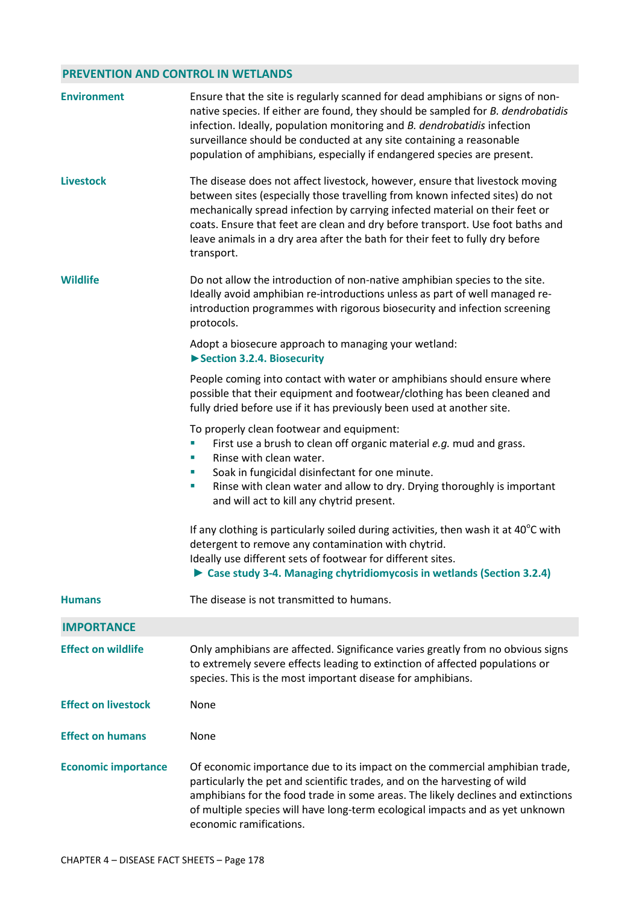## **PREVENTION AND CONTROL IN WETLANDS**

| <b>Environment</b>         | Ensure that the site is regularly scanned for dead amphibians or signs of non-<br>native species. If either are found, they should be sampled for B. dendrobatidis<br>infection. Ideally, population monitoring and B. dendrobatidis infection<br>surveillance should be conducted at any site containing a reasonable<br>population of amphibians, especially if endangered species are present.                             |  |  |  |
|----------------------------|-------------------------------------------------------------------------------------------------------------------------------------------------------------------------------------------------------------------------------------------------------------------------------------------------------------------------------------------------------------------------------------------------------------------------------|--|--|--|
| <b>Livestock</b>           | The disease does not affect livestock, however, ensure that livestock moving<br>between sites (especially those travelling from known infected sites) do not<br>mechanically spread infection by carrying infected material on their feet or<br>coats. Ensure that feet are clean and dry before transport. Use foot baths and<br>leave animals in a dry area after the bath for their feet to fully dry before<br>transport. |  |  |  |
| <b>Wildlife</b>            | Do not allow the introduction of non-native amphibian species to the site.<br>Ideally avoid amphibian re-introductions unless as part of well managed re-<br>introduction programmes with rigorous biosecurity and infection screening<br>protocols.                                                                                                                                                                          |  |  |  |
|                            | Adopt a biosecure approach to managing your wetland:<br>Section 3.2.4. Biosecurity                                                                                                                                                                                                                                                                                                                                            |  |  |  |
|                            | People coming into contact with water or amphibians should ensure where<br>possible that their equipment and footwear/clothing has been cleaned and<br>fully dried before use if it has previously been used at another site.                                                                                                                                                                                                 |  |  |  |
|                            | To properly clean footwear and equipment:<br>First use a brush to clean off organic material e.g. mud and grass.<br>Rinse with clean water.<br>ш<br>Soak in fungicidal disinfectant for one minute.<br>ш<br>Rinse with clean water and allow to dry. Drying thoroughly is important<br>ш<br>and will act to kill any chytrid present.                                                                                         |  |  |  |
|                            | If any clothing is particularly soiled during activities, then wash it at $40^{\circ}$ C with<br>detergent to remove any contamination with chytrid.<br>Ideally use different sets of footwear for different sites.<br>Case study 3-4. Managing chytridiomycosis in wetlands (Section 3.2.4)                                                                                                                                  |  |  |  |
| <b>Humans</b>              | The disease is not transmitted to humans.                                                                                                                                                                                                                                                                                                                                                                                     |  |  |  |
| <b>IMPORTANCE</b>          |                                                                                                                                                                                                                                                                                                                                                                                                                               |  |  |  |
| <b>Effect on wildlife</b>  | Only amphibians are affected. Significance varies greatly from no obvious signs<br>to extremely severe effects leading to extinction of affected populations or<br>species. This is the most important disease for amphibians.                                                                                                                                                                                                |  |  |  |
| <b>Effect on livestock</b> | None                                                                                                                                                                                                                                                                                                                                                                                                                          |  |  |  |
| <b>Effect on humans</b>    | None                                                                                                                                                                                                                                                                                                                                                                                                                          |  |  |  |
| <b>Economic importance</b> | Of economic importance due to its impact on the commercial amphibian trade,<br>particularly the pet and scientific trades, and on the harvesting of wild<br>amphibians for the food trade in some areas. The likely declines and extinctions<br>of multiple species will have long-term ecological impacts and as yet unknown<br>economic ramifications.                                                                      |  |  |  |